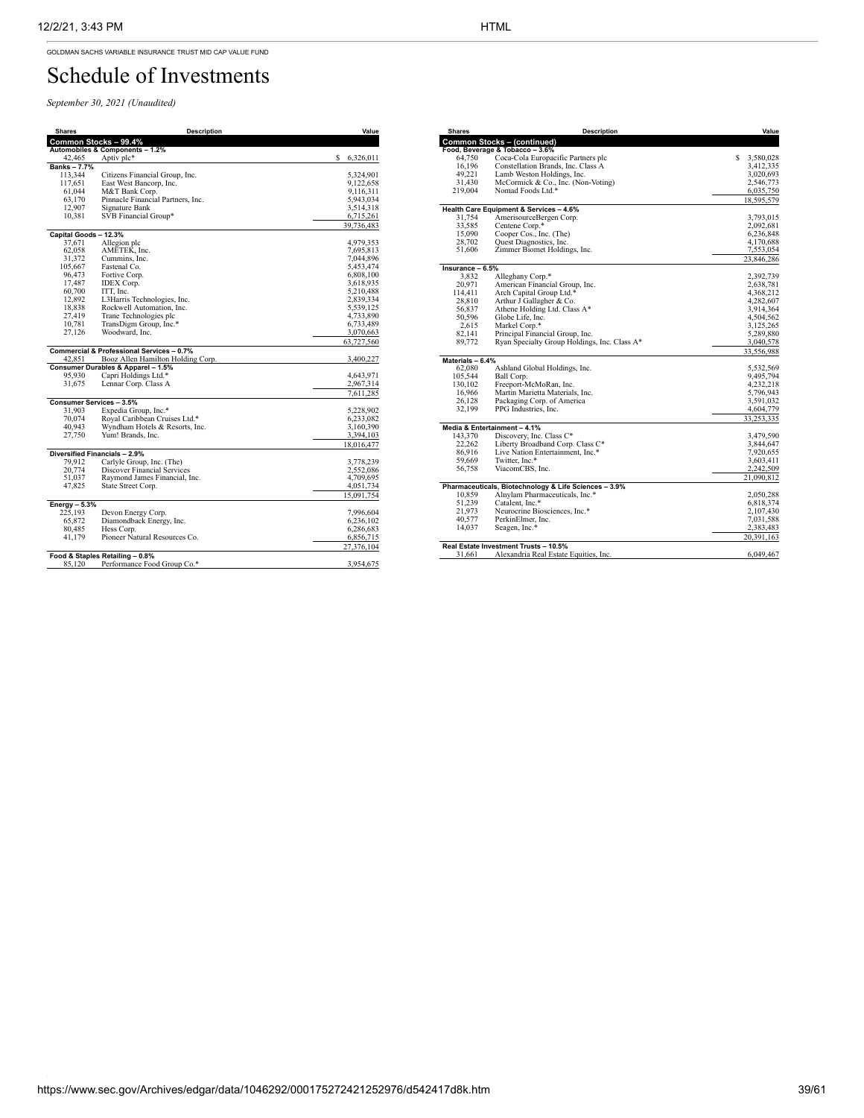GOLDMAN SACHS VARIABLE INSURANCE TRUST MID CAP VALUE FUND

## Schedule of Investments

*September 30, 2021 (Unaudited)*

| <b>Shares</b>         | <b>Description</b>                        | Value          |
|-----------------------|-------------------------------------------|----------------|
|                       | Common Stocks - 99.4%                     |                |
|                       | Automobiles & Components - 1.2%           |                |
| 42,465                | Aptiv plc*                                | s<br>6,326,011 |
| <b>Banks-7.7%</b>     |                                           |                |
| 113,344               | Citizens Financial Group, Inc.            | 5,324,901      |
| 117.651               | East West Bancorp, Inc.                   | 9,122,658      |
| 61,044                | M&T Bank Corp.                            | 9,116,311      |
| 63,170                | Pinnacle Financial Partners, Inc.         | 5,943,034      |
| 12,907                | Signature Bank                            | 3,514,318      |
| 10,381                | SVB Financial Group*                      | 6,715,261      |
|                       |                                           | 39,736,483     |
| Capital Goods - 12.3% |                                           |                |
| 37,671                | Allegion plc                              | 4,979,353      |
| 62,058                | AMETEK, Inc.                              | 7,695,813      |
| 31,372                | Cummins, Inc.                             | 7,044,896      |
| 105,667               | Fastenal Co.                              | 5,453,474      |
| 96,473                | Fortive Corp.                             | 6,808,100      |
| 17,487                | IDEX Corp.                                | 3,618,935      |
| 60,700                | ITT. Inc.                                 | 5,210,488      |
| 12,892                | L3Harris Technologies, Inc.               | 2,839,334      |
| 18,838                | Rockwell Automation, Inc.                 | 5,539,125      |
| 27,419                | Trane Technologies plc                    | 4,733,890      |
| 10,781                |                                           | 6,733,489      |
| 27,126                | TransDigm Group, Inc.*<br>Woodward, Inc.  | 3,070,663      |
|                       |                                           |                |
|                       | Commercial & Professional Services - 0.7% | 63,727,560     |
| 42,851                | Booz Allen Hamilton Holding Corp.         | 3,400,227      |
|                       | Consumer Durables & Apparel - 1.5%        |                |
| 95,930                | Capri Holdings Ltd.*                      | 4,643,971      |
| 31,675                | Lennar Corp. Class A                      | 2,967,314      |
|                       |                                           | 7,611,285      |
|                       | <b>Consumer Services - 3.5%</b>           |                |
| 31.903                | Expedia Group, Inc.*                      | 5,228,902      |
| 70,074                | Royal Caribbean Cruises Ltd.*             | 6,233,082      |
| 40.943                | Wyndham Hotels & Resorts, Inc.            | 3,160,390      |
| 27,750                | Yum! Brands, Inc.                         | 3,394,103      |
|                       |                                           |                |
|                       | Diversified Financials - 2.9%             | 18,016,477     |
| 79.912                | Carlyle Group, Inc. (The)                 | 3,778,239      |
| 20.774                | <b>Discover Financial Services</b>        |                |
| 51,037                |                                           | 2,552,086      |
|                       | Raymond James Financial, Inc.             | 4,709,695      |
| 47,825                | State Street Corp.                        | 4,051,734      |
|                       |                                           | 15,091,754     |
| Energy $-5.3%$        |                                           |                |
| 225,193               | Devon Energy Corp.                        | 7,996,604      |
| 65,872                | Diamondback Energy, Inc.                  | 6,236,102      |
| 80,485                | Hess Corp.                                | 6,286,683      |
| 41,179                | Pioneer Natural Resources Co.             | 6,856,715      |
|                       |                                           | 27,376,104     |
|                       | Food & Staples Retailing - 0.8%           |                |
| 85,120                | Performance Food Group Co.*               | 3,954,675      |

| <b>Shares</b>      | <b>Description</b>                                    | Value           |
|--------------------|-------------------------------------------------------|-----------------|
|                    | <b>Common Stocks - (continued)</b>                    |                 |
|                    | Food, Beverage & Tobacco - 3.6%                       |                 |
| 64,750             | Coca-Cola Europacific Partners plc                    | S.<br>3,580,028 |
| 16,196             | Constellation Brands, Inc. Class A                    | 3,412,335       |
| 49,221             | Lamb Weston Holdings, Inc.                            | 3,020,693       |
| 31,430             | McCormick & Co., Inc. (Non-Voting)                    | 2,546,773       |
| 219,004            | Nomad Foods Ltd.*                                     | 6,035,750       |
|                    |                                                       | 18,595,579      |
|                    | Health Care Equipment & Services - 4.6%               |                 |
| 31,754             | AmerisourceBergen Corp.                               | 3,793,015       |
| 33,585             | Centene Corp.*                                        | 2,092,681       |
| 15,090             | Cooper Cos., Inc. (The)                               | 6,236,848       |
| 28.702             | Quest Diagnostics, Inc.                               | 4,170,688       |
| 51,606             | Zimmer Biomet Holdings, Inc.                          | 7,553,054       |
|                    |                                                       | 23,846,286      |
| $Insurance - 6.5%$ |                                                       |                 |
| 3.832              | Alleghany Corp.*                                      | 2,392,739       |
| 20,971             | American Financial Group, Inc.                        | 2,638,781       |
| 114,411            | Arch Capital Group Ltd.*                              | 4,368,212       |
| 28.810             | Arthur J Gallagher & Co.                              | 4,282,607       |
| 56,837             | Athene Holding Ltd. Class A*                          | 3,914,364       |
| 50,596             | Globe Life, Inc.                                      | 4,504,562       |
| 2,615              | Markel Corp.*                                         | 3,125,265       |
| 82,141             | Principal Financial Group, Inc.                       | 5,289,880       |
| 89,772             | Ryan Specialty Group Holdings, Inc. Class A*          | 3,040,578       |
|                    |                                                       | 33,556,988      |
| Materials - 6.4%   |                                                       |                 |
| 62,080             | Ashland Global Holdings, Inc.                         | 5,532,569       |
| 105,544            | Ball Corp.                                            | 9,495,794       |
| 130,102            | Freeport-McMoRan, Inc.                                | 4,232,218       |
| 16,966             | Martin Marietta Materials, Inc.                       | 5,796,943       |
| 26.128             | Packaging Corp. of America                            | 3,591,032       |
| 32,199             | PPG Industries, Inc.                                  | 4,604,779       |
|                    | Media & Entertainment - 4.1%                          | 33,253,335      |
| 143,370            | Discovery, Inc. Class C*                              | 3,479,590       |
| 22.262             | Liberty Broadband Corp. Class C*                      | 3,844,647       |
| 86,916             | Live Nation Entertainment, Inc.*                      | 7,920,655       |
| 59.669             | Twitter, Inc.*                                        | 3,603,411       |
| 56,758             | ViacomCBS, Inc.                                       | 2,242,509       |
|                    |                                                       | 21,090,812      |
|                    | Pharmaceuticals, Biotechnology & Life Sciences - 3.9% |                 |
| 10,859             | Alnylam Pharmaceuticals, Inc.*                        | 2,050,288       |
| 51,239             | Catalent, Inc.*                                       | 6,818,374       |
| 21,973             | Neurocrine Biosciences, Inc.*                         | 2,107,430       |
| 40,577             | PerkinElmer, Inc.                                     | 7,031,588       |
| 14,037             | Seagen, Inc.*                                         | 2,383,483       |
|                    |                                                       | 20,391,163      |
|                    | Real Estate Investment Trusts - 10.5%                 |                 |
| 31,661             | Alexandria Real Estate Equities, Inc.                 | 6,049,467       |